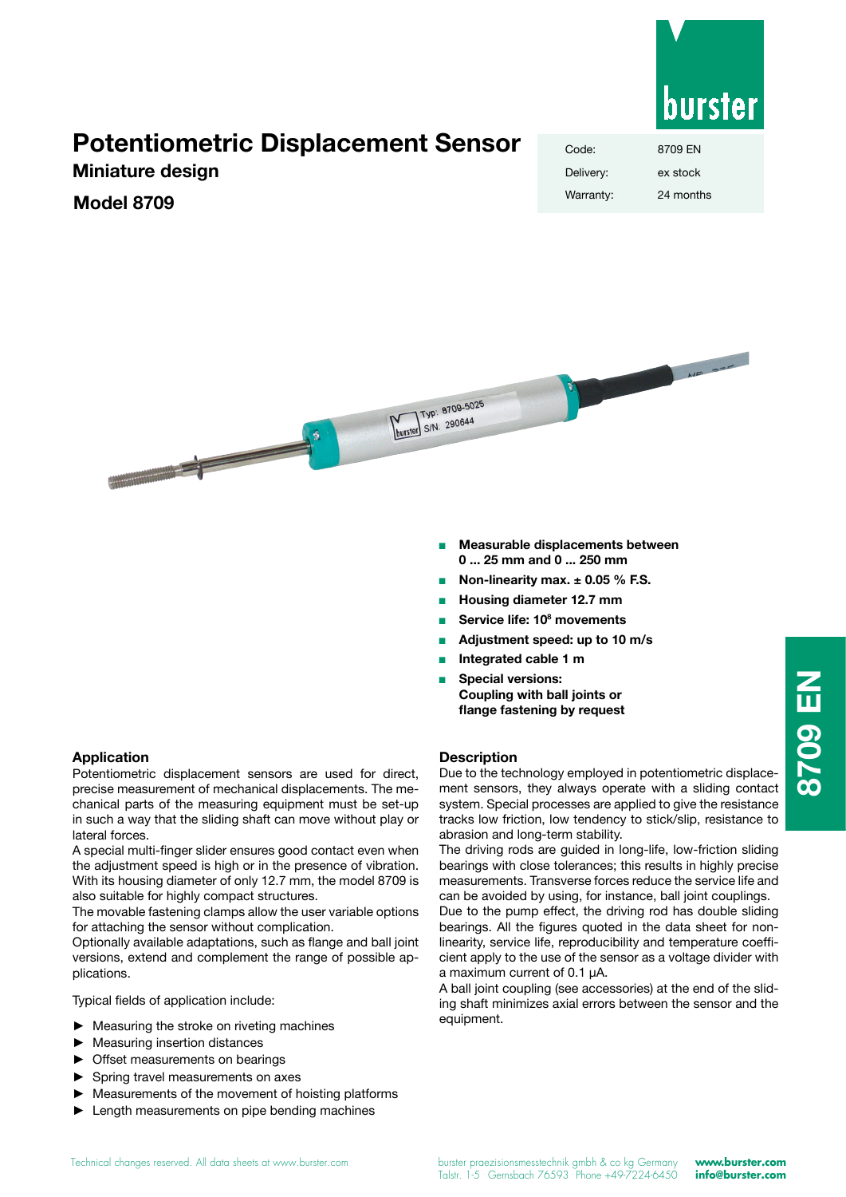

# **Potentiometric Displacement Sensor**

**Miniature design**

## **Model 8709**

| Code:     | 8709 EN   |
|-----------|-----------|
| Delivery: | ex stock  |
| Warranty: | 24 months |



- <sup>n</sup> **Measurable displacements between 0 ... 25 mm and 0 ... 250 mm**
- <sup>n</sup> **Non-linearity max. ± 0.05 % F.S.**
- <sup>n</sup> **Housing diameter 12.7 mm**
- Service life: 10<sup>8</sup> movements
- <sup>n</sup> **Adjustment speed: up to 10 m/s**
- <sup>n</sup> **Integrated cable 1 m**
- **Special versions: Coupling with ball joints or flange fastening by request**

Potentiometric displacement sensors are used for direct, precise measurement of mechanical displacements. The mechanical parts of the measuring equipment must be set-up in such a way that the sliding shaft can move without play or lateral forces.

A special multi-finger slider ensures good contact even when the adjustment speed is high or in the presence of vibration. With its housing diameter of only 12.7 mm, the model 8709 is also suitable for highly compact structures.

The movable fastening clamps allow the user variable options for attaching the sensor without complication.

Optionally available adaptations, such as flange and ball joint versions, extend and complement the range of possible applications.

Typical fields of application include:

- ► Measuring the stroke on riveting machines
- Measuring insertion distances
- Offset measurements on bearings
- ► Spring travel measurements on axes
- Measurements of the movement of hoisting platforms
- Length measurements on pipe bending machines

### **Description**

Due to the technology employed in potentiometric displacement sensors, they always operate with a sliding contact system. Special processes are applied to give the resistance tracks low friction, low tendency to stick/slip, resistance to abrasion and long-term stability.

The driving rods are guided in long-life, low-friction sliding bearings with close tolerances; this results in highly precise measurements. Transverse forces reduce the service life and can be avoided by using, for instance, ball joint couplings.

Due to the pump effect, the driving rod has double sliding bearings. All the figures quoted in the data sheet for nonlinearity, service life, reproducibility and temperature coefficient apply to the use of the sensor as a voltage divider with a maximum current of 0.1 µA.

A ball joint coupling (see accessories) at the end of the sliding shaft minimizes axial errors between the sensor and the equipment.